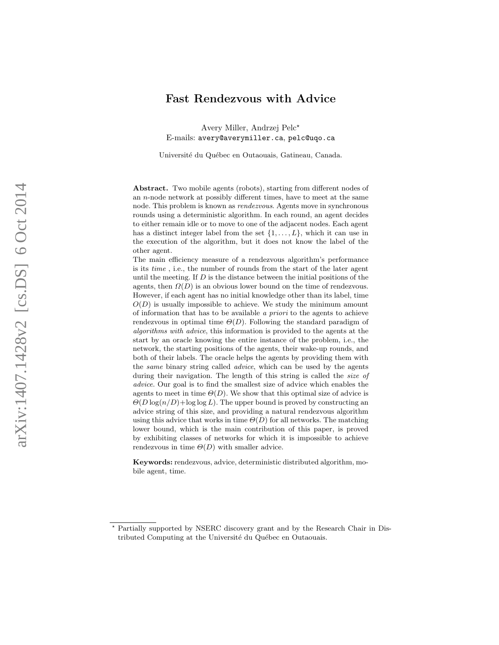# Fast Rendezvous with Advice

Avery Miller, Andrzej Pelc? E-mails: avery@averymiller.ca, pelc@uqo.ca

Université du Québec en Outaouais, Gatineau, Canada.

Abstract. Two mobile agents (robots), starting from different nodes of an  $n$ -node network at possibly different times, have to meet at the same node. This problem is known as rendezvous. Agents move in synchronous rounds using a deterministic algorithm. In each round, an agent decides to either remain idle or to move to one of the adjacent nodes. Each agent has a distinct integer label from the set  $\{1, \ldots, L\}$ , which it can use in the execution of the algorithm, but it does not know the label of the other agent.

The main efficiency measure of a rendezvous algorithm's performance is its time , i.e., the number of rounds from the start of the later agent until the meeting. If  $D$  is the distance between the initial positions of the agents, then  $\Omega(D)$  is an obvious lower bound on the time of rendezvous. However, if each agent has no initial knowledge other than its label, time  $O(D)$  is usually impossible to achieve. We study the minimum amount of information that has to be available a priori to the agents to achieve rendezvous in optimal time  $\Theta(D)$ . Following the standard paradigm of algorithms with advice, this information is provided to the agents at the start by an oracle knowing the entire instance of the problem, i.e., the network, the starting positions of the agents, their wake-up rounds, and both of their labels. The oracle helps the agents by providing them with the same binary string called advice, which can be used by the agents during their navigation. The length of this string is called the *size of* advice. Our goal is to find the smallest size of advice which enables the agents to meet in time  $\Theta(D)$ . We show that this optimal size of advice is  $\Theta(D \log(n/D) + \log \log L)$ . The upper bound is proved by constructing an advice string of this size, and providing a natural rendezvous algorithm using this advice that works in time  $\Theta(D)$  for all networks. The matching lower bound, which is the main contribution of this paper, is proved by exhibiting classes of networks for which it is impossible to achieve rendezvous in time  $\Theta(D)$  with smaller advice.

Keywords: rendezvous, advice, deterministic distributed algorithm, mobile agent, time.

Partially supported by NSERC discovery grant and by the Research Chair in Distributed Computing at the Université du Québec en Outaouais.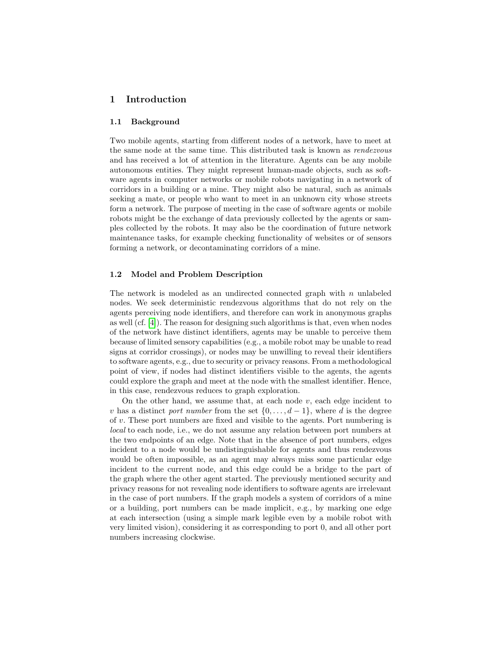# 1 Introduction

#### 1.1 Background

Two mobile agents, starting from different nodes of a network, have to meet at the same node at the same time. This distributed task is known as rendezvous and has received a lot of attention in the literature. Agents can be any mobile autonomous entities. They might represent human-made objects, such as software agents in computer networks or mobile robots navigating in a network of corridors in a building or a mine. They might also be natural, such as animals seeking a mate, or people who want to meet in an unknown city whose streets form a network. The purpose of meeting in the case of software agents or mobile robots might be the exchange of data previously collected by the agents or samples collected by the robots. It may also be the coordination of future network maintenance tasks, for example checking functionality of websites or of sensors forming a network, or decontaminating corridors of a mine.

#### 1.2 Model and Problem Description

The network is modeled as an undirected connected graph with  $n$  unlabeled nodes. We seek deterministic rendezvous algorithms that do not rely on the agents perceiving node identifiers, and therefore can work in anonymous graphs as well (cf. [\[4\]](#page-13-0)). The reason for designing such algorithms is that, even when nodes of the network have distinct identifiers, agents may be unable to perceive them because of limited sensory capabilities (e.g., a mobile robot may be unable to read signs at corridor crossings), or nodes may be unwilling to reveal their identifiers to software agents, e.g., due to security or privacy reasons. From a methodological point of view, if nodes had distinct identifiers visible to the agents, the agents could explore the graph and meet at the node with the smallest identifier. Hence, in this case, rendezvous reduces to graph exploration.

On the other hand, we assume that, at each node  $v$ , each edge incident to v has a distinct port number from the set  $\{0, \ldots, d-1\}$ , where d is the degree of v. These port numbers are fixed and visible to the agents. Port numbering is local to each node, i.e., we do not assume any relation between port numbers at the two endpoints of an edge. Note that in the absence of port numbers, edges incident to a node would be undistinguishable for agents and thus rendezvous would be often impossible, as an agent may always miss some particular edge incident to the current node, and this edge could be a bridge to the part of the graph where the other agent started. The previously mentioned security and privacy reasons for not revealing node identifiers to software agents are irrelevant in the case of port numbers. If the graph models a system of corridors of a mine or a building, port numbers can be made implicit, e.g., by marking one edge at each intersection (using a simple mark legible even by a mobile robot with very limited vision), considering it as corresponding to port 0, and all other port numbers increasing clockwise.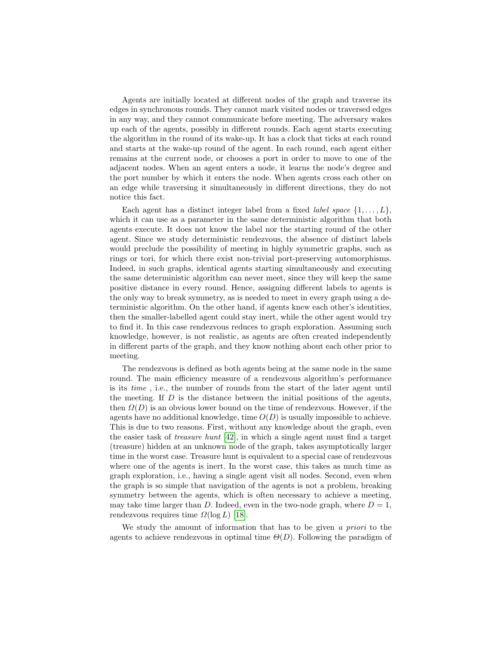Agents are initially located at different nodes of the graph and traverse its edges in synchronous rounds. They cannot mark visited nodes or traversed edges in any way, and they cannot communicate before meeting. The adversary wakes up each of the agents, possibly in different rounds. Each agent starts executing the algorithm in the round of its wake-up. It has a clock that ticks at each round and starts at the wake-up round of the agent. In each round, each agent either remains at the current node, or chooses a port in order to move to one of the adjacent nodes. When an agent enters a node, it learns the node's degree and the port number by which it enters the node. When agents cross each other on an edge while traversing it simultaneously in different directions, they do not notice this fact.

Each agent has a distinct integer label from a fixed *label space*  $\{1, \ldots, L\}$ , which it can use as a parameter in the same deterministic algorithm that both agents execute. It does not know the label nor the starting round of the other agent. Since we study deterministic rendezvous, the absence of distinct labels would preclude the possibility of meeting in highly symmetric graphs, such as rings or tori, for which there exist non-trivial port-preserving automorphisms. Indeed, in such graphs, identical agents starting simultaneously and executing the same deterministic algorithm can never meet, since they will keep the same positive distance in every round. Hence, assigning different labels to agents is the only way to break symmetry, as is needed to meet in every graph using a deterministic algorithm. On the other hand, if agents knew each other's identities, then the smaller-labelled agent could stay inert, while the other agent would try to find it. In this case rendezvous reduces to graph exploration. Assuming such knowledge, however, is not realistic, as agents are often created independently in different parts of the graph, and they know nothing about each other prior to meeting.

The rendezvous is defined as both agents being at the same node in the same round. The main efficiency measure of a rendezvous algorithm's performance is its time , i.e., the number of rounds from the start of the later agent until the meeting. If  $D$  is the distance between the initial positions of the agents, then  $\Omega(D)$  is an obvious lower bound on the time of rendezvous. However, if the agents have no additional knowledge, time  $O(D)$  is usually impossible to achieve. This is due to two reasons. First, without any knowledge about the graph, even the easier task of treasure hunt [\[42\]](#page-15-0), in which a single agent must find a target (treasure) hidden at an unknown node of the graph, takes asymptotically larger time in the worst case. Treasure hunt is equivalent to a special case of rendezvous where one of the agents is inert. In the worst case, this takes as much time as graph exploration, i.e., having a single agent visit all nodes. Second, even when the graph is so simple that navigation of the agents is not a problem, breaking symmetry between the agents, which is often necessary to achieve a meeting, may take time larger than D. Indeed, even in the two-node graph, where  $D = 1$ , rendezvous requires time  $\Omega(\log L)$  [\[18\]](#page-14-0).

We study the amount of information that has to be given a priori to the agents to achieve rendezvous in optimal time  $\Theta(D)$ . Following the paradigm of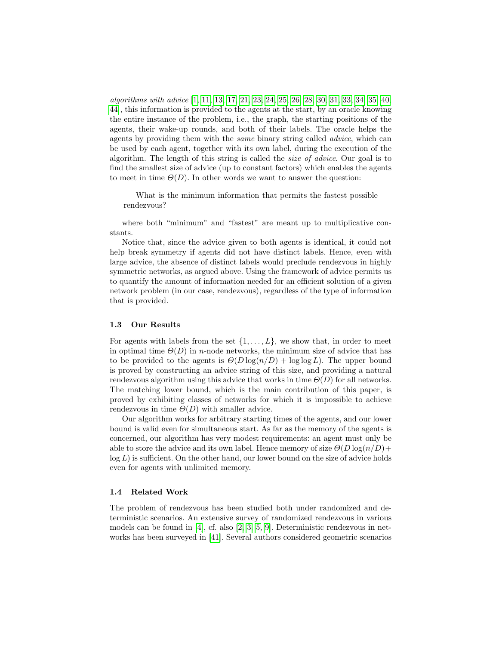algorithms with advice [\[1,](#page-13-1) [11,](#page-13-2) [13,](#page-14-1) [17,](#page-14-2) [21,](#page-14-3) [23,](#page-14-4) [24,](#page-14-5) [25,](#page-14-6) [26,](#page-14-7) [28,](#page-14-8) [30,](#page-14-9) [31,](#page-14-10) [33,](#page-14-11) [34,](#page-14-12) [35,](#page-14-13) [40,](#page-15-1) [44\]](#page-15-2), this information is provided to the agents at the start, by an oracle knowing the entire instance of the problem, i.e., the graph, the starting positions of the agents, their wake-up rounds, and both of their labels. The oracle helps the agents by providing them with the same binary string called advice, which can be used by each agent, together with its own label, during the execution of the algorithm. The length of this string is called the size of advice. Our goal is to find the smallest size of advice (up to constant factors) which enables the agents to meet in time  $\Theta(D)$ . In other words we want to answer the question:

What is the minimum information that permits the fastest possible rendezvous?

where both "minimum" and "fastest" are meant up to multiplicative constants.

Notice that, since the advice given to both agents is identical, it could not help break symmetry if agents did not have distinct labels. Hence, even with large advice, the absence of distinct labels would preclude rendezvous in highly symmetric networks, as argued above. Using the framework of advice permits us to quantify the amount of information needed for an efficient solution of a given network problem (in our case, rendezvous), regardless of the type of information that is provided.

#### 1.3 Our Results

For agents with labels from the set  $\{1, \ldots, L\}$ , we show that, in order to meet in optimal time  $\Theta(D)$  in n-node networks, the minimum size of advice that has to be provided to the agents is  $\Theta(D \log(n/D) + \log \log L)$ . The upper bound is proved by constructing an advice string of this size, and providing a natural rendezvous algorithm using this advice that works in time  $\Theta(D)$  for all networks. The matching lower bound, which is the main contribution of this paper, is proved by exhibiting classes of networks for which it is impossible to achieve rendezvous in time  $\Theta(D)$  with smaller advice.

Our algorithm works for arbitrary starting times of the agents, and our lower bound is valid even for simultaneous start. As far as the memory of the agents is concerned, our algorithm has very modest requirements: an agent must only be able to store the advice and its own label. Hence memory of size  $\Theta(D \log(n/D) +$  $log L$ ) is sufficient. On the other hand, our lower bound on the size of advice holds even for agents with unlimited memory.

#### 1.4 Related Work

The problem of rendezvous has been studied both under randomized and deterministic scenarios. An extensive survey of randomized rendezvous in various models can be found in [\[4\]](#page-13-0), cf. also [\[2,](#page-13-3) [3,](#page-13-4) [5,](#page-13-5) [9\]](#page-13-6). Deterministic rendezvous in networks has been surveyed in [\[41\]](#page-15-3). Several authors considered geometric scenarios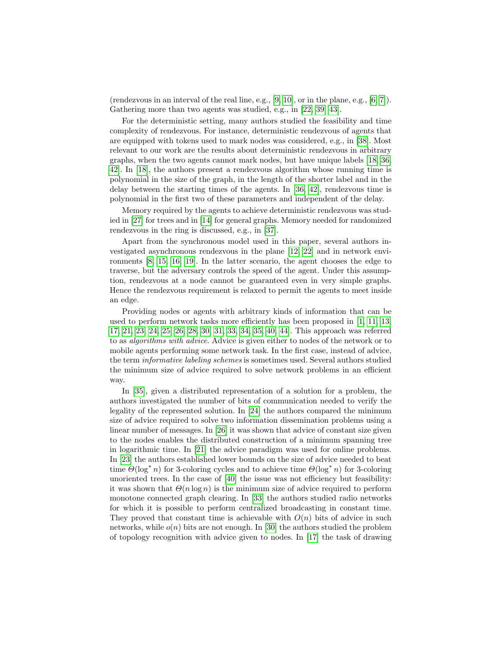(rendezvous in an interval of the real line, e.g.,  $[9, 10]$  $[9, 10]$ , or in the plane, e.g.,  $[6, 7]$  $[6, 7]$ ). Gathering more than two agents was studied, e.g., in [\[22,](#page-14-14) [39,](#page-15-4) [43\]](#page-15-5).

For the deterministic setting, many authors studied the feasibility and time complexity of rendezvous. For instance, deterministic rendezvous of agents that are equipped with tokens used to mark nodes was considered, e.g., in [\[38\]](#page-15-6). Most relevant to our work are the results about deterministic rendezvous in arbitrary graphs, when the two agents cannot mark nodes, but have unique labels [\[18,](#page-14-0) [36,](#page-15-7) [42\]](#page-15-0). In [\[18\]](#page-14-0), the authors present a rendezvous algorithm whose running time is polynomial in the size of the graph, in the length of the shorter label and in the delay between the starting times of the agents. In [\[36,](#page-15-7) [42\]](#page-15-0), rendezvous time is polynomial in the first two of these parameters and independent of the delay.

Memory required by the agents to achieve deterministic rendezvous was studied in [\[27\]](#page-14-15) for trees and in [\[14\]](#page-14-16) for general graphs. Memory needed for randomized rendezvous in the ring is discussed, e.g., in [\[37\]](#page-15-8).

Apart from the synchronous model used in this paper, several authors investigated asynchronous rendezvous in the plane [\[12,](#page-13-10) [22\]](#page-14-14) and in network environments [\[8,](#page-13-11) [15,](#page-14-17) [16,](#page-14-18) [19\]](#page-14-19). In the latter scenario, the agent chooses the edge to traverse, but the adversary controls the speed of the agent. Under this assumption, rendezvous at a node cannot be guaranteed even in very simple graphs. Hence the rendezvous requirement is relaxed to permit the agents to meet inside an edge.

Providing nodes or agents with arbitrary kinds of information that can be used to perform network tasks more efficiently has been proposed in [\[1,](#page-13-1) [11,](#page-13-2) [13,](#page-14-1) [17,](#page-14-2) [21,](#page-14-3) [23,](#page-14-4) [24,](#page-14-5) [25,](#page-14-6) [26,](#page-14-7) [28,](#page-14-8) [30,](#page-14-9) [31,](#page-14-10) [33,](#page-14-11) [34,](#page-14-12) [35,](#page-14-13) [40,](#page-15-1) [44\]](#page-15-2). This approach was referred to as algorithms with advice. Advice is given either to nodes of the network or to mobile agents performing some network task. In the first case, instead of advice, the term informative labeling schemes is sometimes used. Several authors studied the minimum size of advice required to solve network problems in an efficient way.

In [\[35\]](#page-14-13), given a distributed representation of a solution for a problem, the authors investigated the number of bits of communication needed to verify the legality of the represented solution. In [\[24\]](#page-14-5) the authors compared the minimum size of advice required to solve two information dissemination problems using a linear number of messages. In [\[26\]](#page-14-7) it was shown that advice of constant size given to the nodes enables the distributed construction of a minimum spanning tree in logarithmic time. In [\[21\]](#page-14-3) the advice paradigm was used for online problems. In [\[23\]](#page-14-4) the authors established lower bounds on the size of advice needed to beat time  $\Theta(\log^* n)$  for 3-coloring cycles and to achieve time  $\Theta(\log^* n)$  for 3-coloring unoriented trees. In the case of [\[40\]](#page-15-1) the issue was not efficiency but feasibility: it was shown that  $\Theta(n \log n)$  is the minimum size of advice required to perform monotone connected graph clearing. In [\[33\]](#page-14-11) the authors studied radio networks for which it is possible to perform centralized broadcasting in constant time. They proved that constant time is achievable with  $O(n)$  bits of advice in such networks, while  $o(n)$  bits are not enough. In [\[30\]](#page-14-9) the authors studied the problem of topology recognition with advice given to nodes. In [\[17\]](#page-14-2) the task of drawing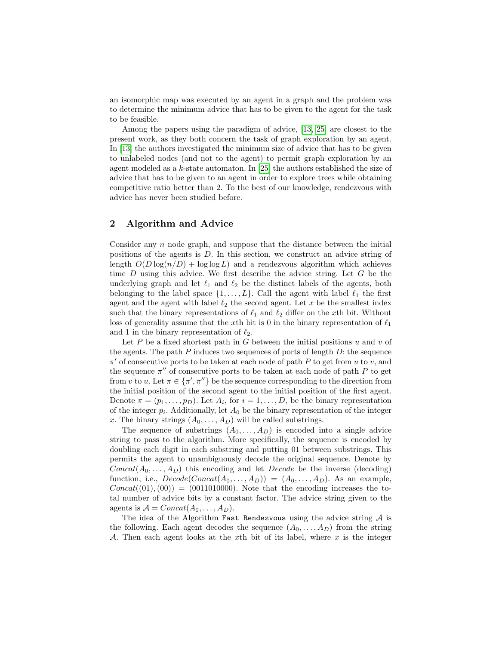an isomorphic map was executed by an agent in a graph and the problem was to determine the minimum advice that has to be given to the agent for the task to be feasible.

Among the papers using the paradigm of advice, [\[13,](#page-14-1) [25\]](#page-14-6) are closest to the present work, as they both concern the task of graph exploration by an agent. In [\[13\]](#page-14-1) the authors investigated the minimum size of advice that has to be given to unlabeled nodes (and not to the agent) to permit graph exploration by an agent modeled as a  $k$ -state automaton. In [\[25\]](#page-14-6) the authors established the size of advice that has to be given to an agent in order to explore trees while obtaining competitive ratio better than 2. To the best of our knowledge, rendezvous with advice has never been studied before.

# 2 Algorithm and Advice

Consider any  $n$  node graph, and suppose that the distance between the initial positions of the agents is D. In this section, we construct an advice string of length  $O(D \log(n/D) + \log \log L)$  and a rendezvous algorithm which achieves time D using this advice. We first describe the advice string. Let G be the underlying graph and let  $\ell_1$  and  $\ell_2$  be the distinct labels of the agents, both belonging to the label space  $\{1, \ldots, L\}$ . Call the agent with label  $\ell_1$  the first agent and the agent with label  $\ell_2$  the second agent. Let x be the smallest index such that the binary representations of  $\ell_1$  and  $\ell_2$  differ on the xth bit. Without loss of generality assume that the xth bit is 0 in the binary representation of  $\ell_1$ and 1 in the binary representation of  $\ell_2$ .

Let P be a fixed shortest path in G between the initial positions  $u$  and  $v$  of the agents. The path  $P$  induces two sequences of ports of length  $D$ : the sequence  $\pi'$  of consecutive ports to be taken at each node of path P to get from u to v, and the sequence  $\pi''$  of consecutive ports to be taken at each node of path  $P$  to get from v to u. Let  $\pi \in {\pi', \pi''}$  be the sequence corresponding to the direction from the initial position of the second agent to the initial position of the first agent. Denote  $\pi = (p_1, \ldots, p_D)$ . Let  $A_i$ , for  $i = 1, \ldots, D$ , be the binary representation of the integer  $p_i$ . Additionally, let  $A_0$  be the binary representation of the integer x. The binary strings  $(A_0, \ldots, A_D)$  will be called substrings.

The sequence of substrings  $(A_0, \ldots, A_D)$  is encoded into a single advice string to pass to the algorithm. More specifically, the sequence is encoded by doubling each digit in each substring and putting 01 between substrings. This permits the agent to unambiguously decode the original sequence. Denote by  $Concat(A_0, \ldots, A_D)$  this encoding and let *Decode* be the inverse (decoding) function, i.e.,  $Decode(Concat(A_0, ..., A_D)) = (A_0, ..., A_D)$ . As an example,  $Concat((01),(00)) = (0011010000)$ . Note that the encoding increases the total number of advice bits by a constant factor. The advice string given to the agents is  $A = Concat(A_0, ..., A_D)$ .

The idea of the Algorithm Fast Rendezvous using the advice string  $A$  is the following. Each agent decodes the sequence  $(A_0, \ldots, A_D)$  from the string A. Then each agent looks at the x<sup>th</sup> bit of its label, where x is the integer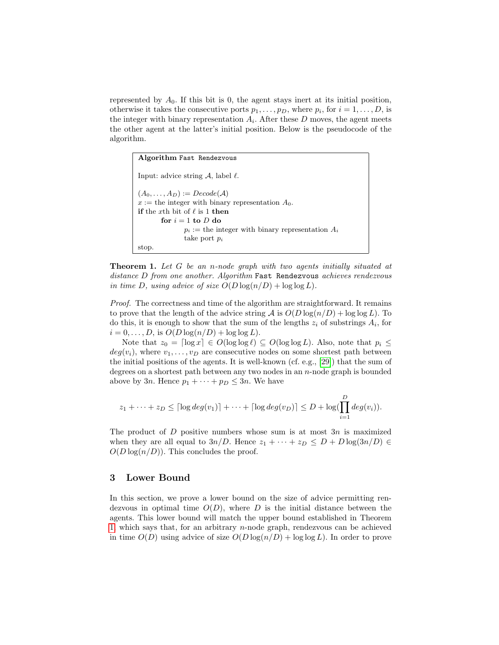represented by  $A_0$ . If this bit is 0, the agent stays inert at its initial position, otherwise it takes the consecutive ports  $p_1, \ldots, p_D$ , where  $p_i$ , for  $i = 1, \ldots, D$ , is the integer with binary representation  $A_i$ . After these  $D$  moves, the agent meets the other agent at the latter's initial position. Below is the pseudocode of the algorithm.

Algorithm Fast Rendezvous Input: advice string  $\mathcal{A}$ , label  $\ell$ .  $(A_0, \ldots, A_D) := Decode(\mathcal{A})$  $x :=$  the integer with binary representation  $A_0$ . if the  $x$ th bit of  $\ell$  is 1 then for  $i = 1$  to  $D$  do  $p_i :=$  the integer with binary representation  $A_i$ take port  $p_i$ stop.

<span id="page-6-0"></span>Theorem 1. Let G be an n-node graph with two agents initially situated at distance D from one another. Algorithm Fast Rendezvous achieves rendezvous in time D, using advice of size  $O(D \log(n/D) + \log \log L)$ .

Proof. The correctness and time of the algorithm are straightforward. It remains to prove that the length of the advice string A is  $O(D \log(n/D) + \log \log L)$ . To do this, it is enough to show that the sum of the lengths  $z_i$  of substrings  $A_i$ , for  $i = 0, \ldots, D$ , is  $O(D \log(n/D) + \log \log L)$ .

Note that  $z_0 = \lceil \log x \rceil \in O(\log \log \ell) \subseteq O(\log \log L)$ . Also, note that  $p_i \leq$  $deg(v_i)$ , where  $v_1, \ldots, v_D$  are consecutive nodes on some shortest path between the initial positions of the agents. It is well-known (cf. e.g., [\[29\]](#page-14-20)) that the sum of degrees on a shortest path between any two nodes in an  $n$ -node graph is bounded above by 3n. Hence  $p_1 + \cdots + p_D \leq 3n$ . We have

$$
z_1 + \cdots + z_D \leq \lceil \log deg(v_1) \rceil + \cdots + \lceil \log deg(v_D) \rceil \leq D + \log(\prod_{i=1}^D deg(v_i)).
$$

The product of  $D$  positive numbers whose sum is at most  $3n$  is maximized when they are all equal to  $3n/D$ . Hence  $z_1 + \cdots + z_D \le D + D \log(3n/D) \in$  $O(D \log(n/D))$ . This concludes the proof.

# 3 Lower Bound

In this section, we prove a lower bound on the size of advice permitting rendezvous in optimal time  $O(D)$ , where D is the initial distance between the agents. This lower bound will match the upper bound established in Theorem [1,](#page-6-0) which says that, for an arbitrary n-node graph, rendezvous can be achieved in time  $O(D)$  using advice of size  $O(D \log(n/D) + \log \log L)$ . In order to prove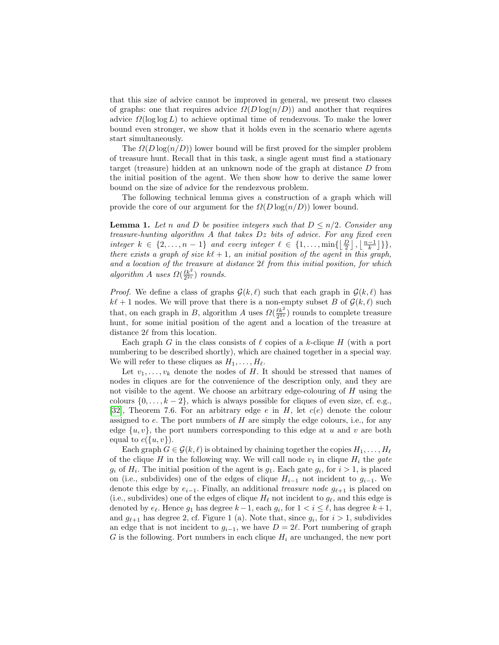that this size of advice cannot be improved in general, we present two classes of graphs: one that requires advice  $\Omega(D \log(n/D))$  and another that requires advice  $\Omega(\log \log L)$  to achieve optimal time of rendezvous. To make the lower bound even stronger, we show that it holds even in the scenario where agents start simultaneously.

The  $\Omega(D \log(n/D))$  lower bound will be first proved for the simpler problem of treasure hunt. Recall that in this task, a single agent must find a stationary target (treasure) hidden at an unknown node of the graph at distance D from the initial position of the agent. We then show how to derive the same lower bound on the size of advice for the rendezvous problem.

The following technical lemma gives a construction of a graph which will provide the core of our argument for the  $\Omega(D \log(n/D))$  lower bound.

<span id="page-7-0"></span>**Lemma 1.** Let n and D be positive integers such that  $D \leq n/2$ . Consider any treasure-hunting algorithm A that takes Dz bits of advice. For any fixed even integer  $k \in \{2, ..., n-1\}$  and every integer  $\ell \in \{1, ..., \min\{\lfloor \frac{D}{2} \rfloor, \lfloor \frac{n-1}{k} \rfloor\} \}$ , there exists a graph of size  $k\ell + 1$ , an initial position of the agent in this graph, and a location of the treasure at distance  $2\ell$  from this initial position, for which algorithm A uses  $\Omega(\frac{\ell k^2}{2^{2z}})$  rounds.

*Proof.* We define a class of graphs  $\mathcal{G}(k, \ell)$  such that each graph in  $\mathcal{G}(k, \ell)$  has  $k\ell + 1$  nodes. We will prove that there is a non-empty subset B of  $\mathcal{G}(k, \ell)$  such that, on each graph in B, algorithm A uses  $\Omega(\frac{\ell k^2}{2^{2z}})$  rounds to complete treasure hunt, for some initial position of the agent and a location of the treasure at distance  $2\ell$  from this location.

Each graph G in the class consists of  $\ell$  copies of a k-clique H (with a port numbering to be described shortly), which are chained together in a special way. We will refer to these cliques as  $H_1, \ldots, H_\ell$ .

Let  $v_1, \ldots, v_k$  denote the nodes of H. It should be stressed that names of nodes in cliques are for the convenience of the description only, and they are not visible to the agent. We choose an arbitrary edge-colouring of H using the colours  $\{0, \ldots, k-2\}$ , which is always possible for cliques of even size, cf. e.g., [\[32\]](#page-14-21), Theorem 7.6. For an arbitrary edge e in H, let  $c(e)$  denote the colour assigned to  $e$ . The port numbers of  $H$  are simply the edge colours, i.e., for any edge  $\{u, v\}$ , the port numbers corresponding to this edge at u and v are both equal to  $c({u,v})$ .

Each graph  $G \in \mathcal{G}(k, \ell)$  is obtained by chaining together the copies  $H_1, \ldots, H_\ell$ of the clique H in the following way. We will call node  $v_1$  in clique  $H_i$  the gate  $g_i$  of  $H_i$ . The initial position of the agent is  $g_1$ . Each gate  $g_i$ , for  $i > 1$ , is placed on (i.e., subdivides) one of the edges of clique  $H_{i-1}$  not incident to  $g_{i-1}$ . We denote this edge by  $e_{i-1}$ . Finally, an additional treasure node  $g_{\ell+1}$  is placed on (i.e., subdivides) one of the edges of clique  $H_\ell$  not incident to  $g_\ell$ , and this edge is denoted by  $e_{\ell}$ . Hence  $g_1$  has degree  $k-1$ , each  $g_i$ , for  $1 < i \leq \ell$ , has degree  $k+1$ , and  $g_{\ell+1}$  has degree 2, cf. Figure 1 (a). Note that, since  $g_i$ , for  $i > 1$ , subdivides an edge that is not incident to  $g_{i-1}$ , we have  $D = 2\ell$ . Port numbering of graph G is the following. Port numbers in each clique  $H_i$  are unchanged, the new port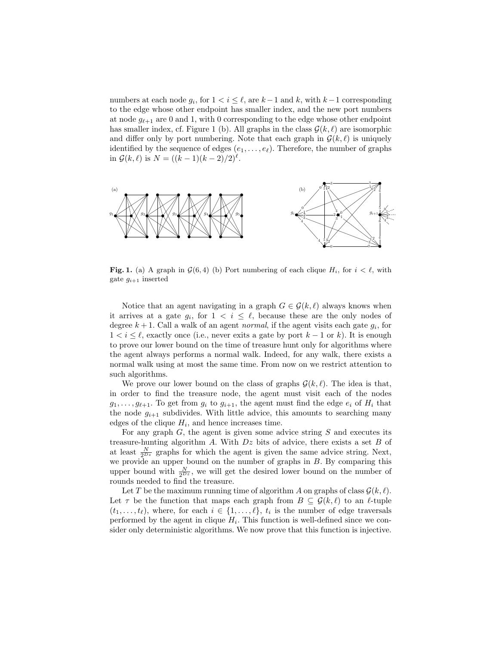numbers at each node  $g_i$ , for  $1 < i \leq \ell$ , are  $k-1$  and k, with  $k-1$  corresponding to the edge whose other endpoint has smaller index, and the new port numbers at node  $g_{\ell+1}$  are 0 and 1, with 0 corresponding to the edge whose other endpoint has smaller index, cf. Figure 1 (b). All graphs in the class  $\mathcal{G}(k, \ell)$  are isomorphic and differ only by port numbering. Note that each graph in  $\mathcal{G}(k, \ell)$  is uniquely identified by the sequence of edges  $(e_1, \ldots, e_\ell)$ . Therefore, the number of graphs in  $\mathcal{G}(k,\ell)$  is  $N = ((k-1)(k-2)/2)^{\ell}$ .



<span id="page-8-0"></span>**Fig. 1.** (a) A graph in  $\mathcal{G}(6, 4)$  (b) Port numbering of each clique  $H_i$ , for  $i < \ell$ , with gate  $q_{i+1}$  inserted

Notice that an agent navigating in a graph  $G \in \mathcal{G}(k, \ell)$  always knows when it arrives at a gate  $g_i$ , for  $1 \leq i \leq \ell$ , because these are the only nodes of degree  $k+1$ . Call a walk of an agent *normal*, if the agent visits each gate  $g_i$ , for  $1 < i \leq \ell$ , exactly once (i.e., never exits a gate by port  $k - 1$  or k). It is enough to prove our lower bound on the time of treasure hunt only for algorithms where the agent always performs a normal walk. Indeed, for any walk, there exists a normal walk using at most the same time. From now on we restrict attention to such algorithms.

We prove our lower bound on the class of graphs  $\mathcal{G}(k, \ell)$ . The idea is that, in order to find the treasure node, the agent must visit each of the nodes  $g_1, \ldots, g_{\ell+1}$ . To get from  $g_i$  to  $g_{i+1}$ , the agent must find the edge  $e_i$  of  $H_i$  that the node  $g_{i+1}$  subdivides. With little advice, this amounts to searching many edges of the clique  $H_i$ , and hence increases time.

For any graph  $G$ , the agent is given some advice string  $S$  and executes its treasure-hunting algorithm  $A$ . With  $Dz$  bits of advice, there exists a set  $B$  of at least  $\frac{N}{2^{Dz}}$  graphs for which the agent is given the same advice string. Next, we provide an upper bound on the number of graphs in  $B$ . By comparing this upper bound with  $\frac{N}{2^{Dz}}$ , we will get the desired lower bound on the number of rounds needed to find the treasure.

Let T be the maximum running time of algorithm A on graphs of class  $\mathcal{G}(k, \ell)$ . Let  $\tau$  be the function that maps each graph from  $B \subseteq \mathcal{G}(k, \ell)$  to an  $\ell$ -tuple  $(t_1, \ldots, t_\ell)$ , where, for each  $i \in \{1, \ldots, \ell\}$ ,  $t_i$  is the number of edge traversals performed by the agent in clique  $H_i$ . This function is well-defined since we consider only deterministic algorithms. We now prove that this function is injective.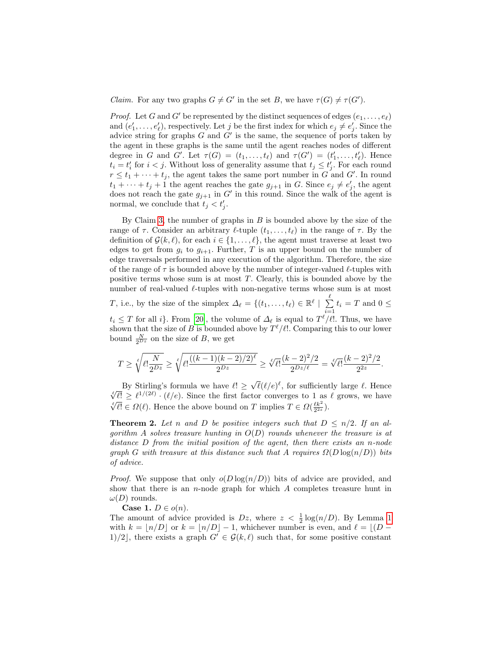*Claim.* For any two graphs  $G \neq G'$  in the set B, we have  $\tau(G) \neq \tau(G')$ .

*Proof.* Let G and G' be represented by the distinct sequences of edges  $(e_1, \ldots, e_\ell)$ and  $(e'_1, \ldots, e'_\ell)$ , respectively. Let j be the first index for which  $e_j \neq e'_j$ . Since the advice string for graphs  $G$  and  $G'$  is the same, the sequence of ports taken by the agent in these graphs is the same until the agent reaches nodes of different degree in G and G'. Let  $\tau(G) = (t_1, \ldots, t_\ell)$  and  $\tau(G') = (t'_1, \ldots, t'_\ell)$ . Hence  $t_i = t'_i$  for  $i < j$ . Without loss of generality assume that  $t_j \leq t'_j$ . For each round  $r \leq t_1 + \cdots + t_j$ , the agent takes the same port number in G and G'. In round  $t_1 + \cdots + t_j + 1$  the agent reaches the gate  $g_{j+1}$  in G. Since  $e_j \neq e'_j$ , the agent does not reach the gate  $g_{j+1}$  in G' in this round. Since the walk of the agent is normal, we conclude that  $t_j < t'_j$ .

By Claim [3,](#page-8-0) the number of graphs in  $B$  is bounded above by the size of the range of  $\tau$ . Consider an arbitrary  $\ell$ -tuple  $(t_1, \ldots, t_\ell)$  in the range of  $\tau$ . By the definition of  $\mathcal{G}(k, \ell)$ , for each  $i \in \{1, \ldots, \ell\}$ , the agent must traverse at least two edges to get from  $g_i$  to  $g_{i+1}$ . Further, T is an upper bound on the number of edge traversals performed in any execution of the algorithm. Therefore, the size of the range of  $\tau$  is bounded above by the number of integer-valued  $\ell$ -tuples with positive terms whose sum is at most  $T$ . Clearly, this is bounded above by the number of real-valued  $\ell$ -tuples with non-negative terms whose sum is at most

T, i.e., by the size of the simplex  $\Delta_{\ell} = \{(t_1, \ldots, t_{\ell}) \in \mathbb{R}^{\ell} \mid \sum_{i=1}^{\ell}$  $\sum_{i=1} t_i = T$  and  $0 \le$  $t_i \leq T$  for all i}. From [\[20\]](#page-14-22), the volume of  $\Delta_{\ell}$  is equal to  $T^{\ell}/\ell!$ . Thus, we have shown that the size of B is bounded above by  $T^{\ell}/\ell!$ . Comparing this to our lower bound  $\frac{N}{2^{Dz}}$  on the size of B, we get

$$
T \geq \sqrt[\ell]{\ell! \frac{N}{2^{Dz}}} \geq \sqrt[\ell]{\ell! \frac{((k-1)(k-2)/2)^{\ell}}{2^{Dz}}} \geq \sqrt[\ell]{\ell!} \frac{(k-2)^2/2}{2^{Dz/\ell}} = \sqrt[\ell]{\ell!} \frac{(k-2)^2/2}{2^{2z}}.
$$

By Stirling's formula we have  $\ell! \geq$ √  $\overline{\ell}(\ell/e)^{\ell}$ , for sufficiently large  $\ell$ . Hence By Stirling's formula we have  $\ell! \geq \sqrt{\ell(\ell/\epsilon)}$ , for sufficiently large  $\ell$ . Hence  $\sqrt[\ell]{\ell!} \geq \ell^{1/(2\ell)} \cdot (\ell/\epsilon)$ . Since the first factor converges to 1 as  $\ell$  grows, we have  $\sqrt[k]{\ell} \in \Omega(\ell)$ . Hence the above bound on T implies  $T \in \Omega(\frac{\ell k^2}{2^{2z}})$ .

<span id="page-9-0"></span>**Theorem 2.** Let n and D be positive integers such that  $D \leq n/2$ . If an algorithm A solves treasure hunting in  $O(D)$  rounds whenever the treasure is at distance D from the initial position of the agent, then there exists an n-node graph G with treasure at this distance such that A requires  $\Omega(D \log(n/D))$  bits of advice.

*Proof.* We suppose that only  $o(D \log(n/D))$  bits of advice are provided, and show that there is an  $n$ -node graph for which  $A$  completes treasure hunt in  $\omega(D)$  rounds.

Case 1.  $D \in o(n)$ .

The amount of advice provided is  $Dz$ , where  $z < \frac{1}{2} \log(n/D)$ . By Lemma [1](#page-7-0) with  $k = |n/D|$  or  $k = |n/D| - 1$ , whichever number is even, and  $\ell = |(D - b)|$ 1)/2, there exists a graph  $G' \in \mathcal{G}(k, \ell)$  such that, for some positive constant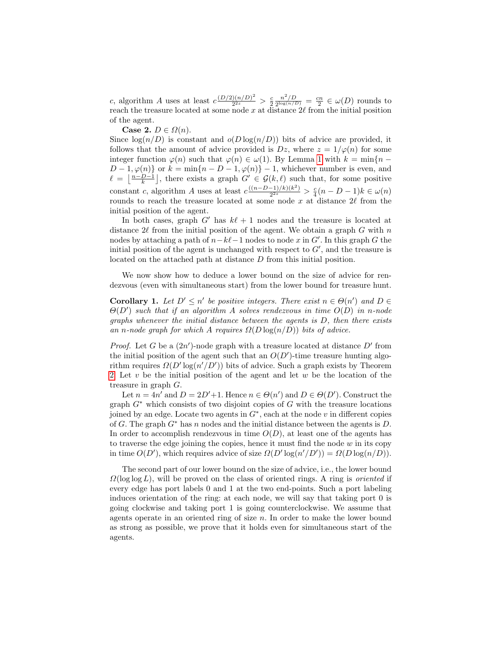c, algorithm A uses at least  $c \frac{(D/2)(n/D)^2}{2^{2z}}$  $\frac{((n/D)^2}{2^{2z}} > \frac{c}{2}$  $n^2/D$  $\frac{n^2/D}{2^{\log(n/D)}} = \frac{cn}{2} \in \omega(D)$  rounds to reach the treasure located at some node x at distance  $2\ell$  from the initial position of the agent.

Case 2.  $D \in \Omega(n)$ .

Since  $\log(n/D)$  is constant and  $o(D\log(n/D))$  bits of advice are provided, it follows that the amount of advice provided is  $Dz$ , where  $z = 1/\varphi(n)$  for some integer function  $\varphi(n)$  such that  $\varphi(n) \in \omega(1)$ . By Lemma [1](#page-7-0) with  $k = \min\{n - \pi\}$  $D-1, \varphi(n)$  or  $k = \min\{n - D - 1, \varphi(n)\} - 1$ , whichever number is even, and  $\ell = \left\lfloor \frac{n-D-1}{k} \right\rfloor$ , there exists a graph  $G' \in \mathcal{G}(k,\ell)$  such that, for some positive constant c, algorithm A uses at least  $c \frac{((n-D-1)/k)(k^2)}{2^{2z}}$  $\frac{(-1)}{2^{2z}}$  >  $\frac{c}{4}(n-D-1)k \in \omega(n)$ rounds to reach the treasure located at some node x at distance  $2\ell$  from the initial position of the agent.

In both cases, graph G' has  $k\ell + 1$  nodes and the treasure is located at distance  $2\ell$  from the initial position of the agent. We obtain a graph G with n nodes by attaching a path of  $n-k\ell-1$  nodes to node x in G'. In this graph G the initial position of the agent is unchanged with respect to  $G'$ , and the treasure is located on the attached path at distance D from this initial position.

We now show how to deduce a lower bound on the size of advice for rendezvous (even with simultaneous start) from the lower bound for treasure hunt.

<span id="page-10-0"></span>**Corollary 1.** Let  $D' \leq n'$  be positive integers. There exist  $n \in \Theta(n')$  and  $D \in$  $\Theta(D')$  such that if an algorithm A solves rendezvous in time  $O(D)$  in n-node graphs whenever the initial distance between the agents is  $D$ , then there exists an n-node graph for which A requires  $\Omega(D \log(n/D))$  bits of advice.

*Proof.* Let G be a  $(2n')$ -node graph with a treasure located at distance  $D'$  from the initial position of the agent such that an  $O(D')$ -time treasure hunting algorithm requires  $\Omega(D' \log(n'/D'))$  bits of advice. Such a graph exists by Theorem [2.](#page-9-0) Let  $v$  be the initial position of the agent and let  $w$  be the location of the treasure in graph G.

Let  $n = 4n'$  and  $D = 2D'+1$ . Hence  $n \in \Theta(n')$  and  $D \in \Theta(D')$ . Construct the graph  $G^*$  which consists of two disjoint copies of  $G$  with the treasure locations joined by an edge. Locate two agents in  $G^*$ , each at the node v in different copies of G. The graph  $G^*$  has n nodes and the initial distance between the agents is D. In order to accomplish rendezvous in time  $O(D)$ , at least one of the agents has to traverse the edge joining the copies, hence it must find the node  $w$  in its copy in time  $O(D')$ , which requires advice of size  $\Omega(D' \log(n'/D')) = \Omega(D \log(n/D)).$ 

<span id="page-10-1"></span>The second part of our lower bound on the size of advice, i.e., the lower bound  $\Omega(\log \log L)$ , will be proved on the class of oriented rings. A ring is *oriented* if every edge has port labels 0 and 1 at the two end-points. Such a port labeling induces orientation of the ring: at each node, we will say that taking port 0 is going clockwise and taking port 1 is going counterclockwise. We assume that agents operate in an oriented ring of size n. In order to make the lower bound as strong as possible, we prove that it holds even for simultaneous start of the agents.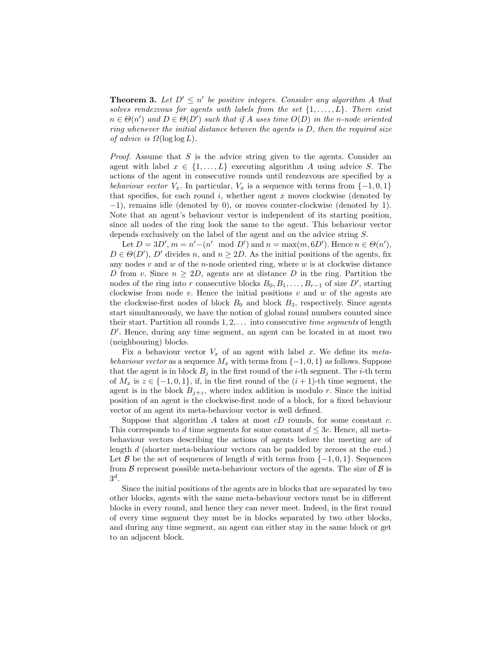**Theorem 3.** Let  $D' \leq n'$  be positive integers. Consider any algorithm A that solves rendezvous for agents with labels from the set  $\{1, \ldots, L\}$ . There exist  $n \in \Theta(n')$  and  $D \in \Theta(D')$  such that if A uses time  $O(D)$  in the n-node oriented ring whenever the initial distance between the agents is  $D$ , then the required size of advice is  $\Omega(\log \log L)$ .

*Proof.* Assume that  $S$  is the advice string given to the agents. Consider an agent with label  $x \in \{1, \ldots, L\}$  executing algorithm A using advice S. The actions of the agent in consecutive rounds until rendezvous are specified by a behaviour vector  $V_x$ . In particular,  $V_x$  is a sequence with terms from  $\{-1,0,1\}$ that specifies, for each round  $i$ , whether agent  $x$  moves clockwise (denoted by −1), remains idle (denoted by 0), or moves counter-clockwise (denoted by 1). Note that an agent's behaviour vector is independent of its starting position, since all nodes of the ring look the same to the agent. This behaviour vector depends exclusively on the label of the agent and on the advice string S.

Let  $D = 3D'$ ,  $m = n' - (n' \mod D')$  and  $n = \max(m, 6D')$ . Hence  $n \in \Theta(n')$ ,  $D \in \Theta(D')$ , D' divides n, and  $n \ge 2D$ . As the initial positions of the agents, fix any nodes  $v$  and  $w$  of the *n*-node oriented ring, where  $w$  is at clockwise distance D from v. Since  $n \geq 2D$ , agents are at distance D in the ring. Partition the nodes of the ring into r consecutive blocks  $B_0, B_1, \ldots, B_{r-1}$  of size D', starting clockwise from node v. Hence the initial positions v and w of the agents are the clockwise-first nodes of block  $B_0$  and block  $B_3$ , respectively. Since agents start simultaneously, we have the notion of global round numbers counted since their start. Partition all rounds  $1, 2, \ldots$  into consecutive time segments of length  $D'$ . Hence, during any time segment, an agent can be located in at most two (neighbouring) blocks.

Fix a behaviour vector  $V_x$  of an agent with label x. We define its metabehaviour vector as a sequence  $M_x$  with terms from  $\{-1,0,1\}$  as follows. Suppose that the agent is in block  $B_j$  in the first round of the *i*-th segment. The *i*-th term of  $M_x$  is  $z \in \{-1,0,1\}$ , if, in the first round of the  $(i + 1)$ -th time segment, the agent is in the block  $B_{j+z}$ , where index addition is modulo r. Since the initial position of an agent is the clockwise-first node of a block, for a fixed behaviour vector of an agent its meta-behaviour vector is well defined.

Suppose that algorithm  $A$  takes at most  $cD$  rounds, for some constant  $c$ . This corresponds to d time segments for some constant  $d \leq 3c$ . Hence, all metabehaviour vectors describing the actions of agents before the meeting are of length d (shorter meta-behaviour vectors can be padded by zeroes at the end.) Let B be the set of sequences of length d with terms from  $\{-1,0,1\}$ . Sequences from  $\beta$  represent possible meta-behaviour vectors of the agents. The size of  $\beta$  is  $3^d.$ 

Since the initial positions of the agents are in blocks that are separated by two other blocks, agents with the same meta-behaviour vectors must be in different blocks in every round, and hence they can never meet. Indeed, in the first round of every time segment they must be in blocks separated by two other blocks, and during any time segment, an agent can either stay in the same block or get to an adjacent block.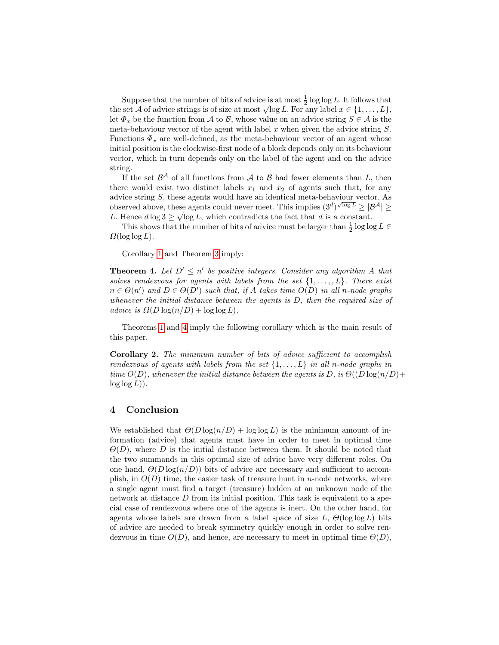Suppose that the number of bits of advice is at most  $\frac{1}{2} \log \log L$ . It follows that suppose that the number of bits of advice is at most  $\frac{1}{2}$  log log L. It follows that the set A of advice strings is of size at most  $\sqrt{\log L}$ . For any label  $x \in \{1, \ldots, L\}$ , let  $\Phi_x$  be the function from A to B, whose value on an advice string  $S \in \mathcal{A}$  is the meta-behaviour vector of the agent with label  $x$  when given the advice string  $S$ . Functions  $\Phi_x$  are well-defined, as the meta-behaviour vector of an agent whose initial position is the clockwise-first node of a block depends only on its behaviour vector, which in turn depends only on the label of the agent and on the advice string.

If the set  $\mathcal{B}^{\mathcal{A}}$  of all functions from  $\mathcal{A}$  to  $\mathcal{B}$  had fewer elements than L, then there would exist two distinct labels  $x_1$  and  $x_2$  of agents such that, for any advice string  $S$ , these agents would have an identical meta-behaviour vector. As observed above, these agents could never meet. This implies  $(3^d)^{\sqrt{\log L}} \geq |\mathcal{B}^{\mathcal{A}}| \geq$ boserved above, these agents could never meet. This implies  $\left(S^0\right)^{3} \geq \sqrt{k}$ .<br>L. Hence  $d \log 3 \geq \sqrt{\log L}$ , which contradicts the fact that d is a constant.

This shows that the number of bits of advice must be larger than  $\frac{1}{2} \log \log L \in$  $\Omega(\log \log L)$ .

Corollary [1](#page-10-0) and Theorem [3](#page-10-1) imply:

<span id="page-12-0"></span>**Theorem 4.** Let  $D' \leq n'$  be positive integers. Consider any algorithm A that solves rendezvous for agents with labels from the set  $\{1, \ldots, L\}$ . There exist  $n \in \Theta(n')$  and  $D \in \Theta(D')$  such that, if A takes time  $O(D)$  in all n-node graphs whenever the initial distance between the agents is D, then the required size of advice is  $\Omega(D \log(n/D) + \log \log L)$ .

Theorems [1](#page-6-0) and [4](#page-12-0) imply the following corollary which is the main result of this paper.

Corollary 2. The minimum number of bits of advice sufficient to accomplish rendezvous of agents with labels from the set  $\{1, \ldots, L\}$  in all n-node graphs in time  $O(D)$ , whenever the initial distance between the agents is D, is  $\Theta((D \log(n/D)+$  $log log L$ ).

### 4 Conclusion

We established that  $\Theta(D \log(n/D) + \log \log L)$  is the minimum amount of information (advice) that agents must have in order to meet in optimal time  $\Theta(D)$ , where D is the initial distance between them. It should be noted that the two summands in this optimal size of advice have very different roles. On one hand,  $\Theta(D \log(n/D))$  bits of advice are necessary and sufficient to accomplish, in  $O(D)$  time, the easier task of treasure hunt in *n*-node networks, where a single agent must find a target (treasure) hidden at an unknown node of the network at distance  $D$  from its initial position. This task is equivalent to a special case of rendezvous where one of the agents is inert. On the other hand, for agents whose labels are drawn from a label space of size L,  $\Theta(\log \log L)$  bits of advice are needed to break symmetry quickly enough in order to solve rendezvous in time  $O(D)$ , and hence, are necessary to meet in optimal time  $\Theta(D)$ ,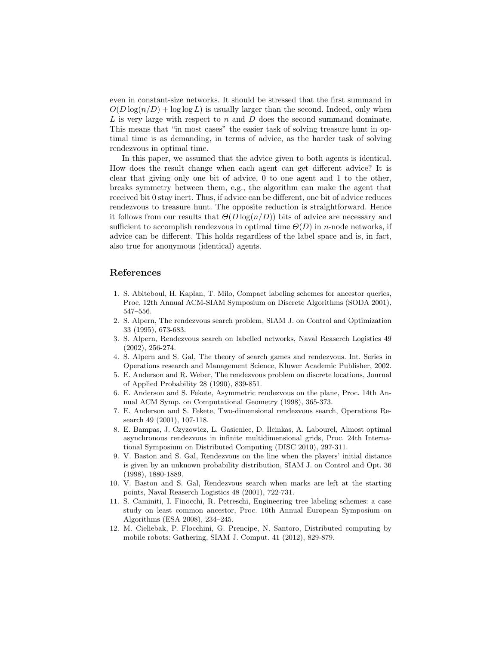even in constant-size networks. It should be stressed that the first summand in  $O(D \log(n/D) + \log \log L)$  is usually larger than the second. Indeed, only when  $L$  is very large with respect to n and  $D$  does the second summand dominate. This means that "in most cases" the easier task of solving treasure hunt in optimal time is as demanding, in terms of advice, as the harder task of solving rendezvous in optimal time.

In this paper, we assumed that the advice given to both agents is identical. How does the result change when each agent can get different advice? It is clear that giving only one bit of advice, 0 to one agent and 1 to the other, breaks symmetry between them, e.g., the algorithm can make the agent that received bit 0 stay inert. Thus, if advice can be different, one bit of advice reduces rendezvous to treasure hunt. The opposite reduction is straightforward. Hence it follows from our results that  $\Theta(D \log(n/D))$  bits of advice are necessary and sufficient to accomplish rendezvous in optimal time  $\Theta(D)$  in n-node networks, if advice can be different. This holds regardless of the label space and is, in fact, also true for anonymous (identical) agents.

## References

- <span id="page-13-1"></span>1. S. Abiteboul, H. Kaplan, T. Milo, Compact labeling schemes for ancestor queries, Proc. 12th Annual ACM-SIAM Symposium on Discrete Algorithms (SODA 2001), 547–556.
- <span id="page-13-3"></span>2. S. Alpern, The rendezvous search problem, SIAM J. on Control and Optimization 33 (1995), 673-683.
- <span id="page-13-4"></span>3. S. Alpern, Rendezvous search on labelled networks, Naval Reaserch Logistics 49 (2002), 256-274.
- <span id="page-13-0"></span>4. S. Alpern and S. Gal, The theory of search games and rendezvous. Int. Series in Operations research and Management Science, Kluwer Academic Publisher, 2002.
- <span id="page-13-5"></span>5. E. Anderson and R. Weber, The rendezvous problem on discrete locations, Journal of Applied Probability 28 (1990), 839-851.
- <span id="page-13-8"></span>6. E. Anderson and S. Fekete, Asymmetric rendezvous on the plane, Proc. 14th Annual ACM Symp. on Computational Geometry (1998), 365-373.
- <span id="page-13-9"></span>7. E. Anderson and S. Fekete, Two-dimensional rendezvous search, Operations Research 49 (2001), 107-118.
- <span id="page-13-11"></span>8. E. Bampas, J. Czyzowicz, L. Gasieniec, D. Ilcinkas, A. Labourel, Almost optimal asynchronous rendezvous in infinite multidimensional grids, Proc. 24th International Symposium on Distributed Computing (DISC 2010), 297-311.
- <span id="page-13-6"></span>9. V. Baston and S. Gal, Rendezvous on the line when the players' initial distance is given by an unknown probability distribution, SIAM J. on Control and Opt. 36 (1998), 1880-1889.
- <span id="page-13-7"></span>10. V. Baston and S. Gal, Rendezvous search when marks are left at the starting points, Naval Reaserch Logistics 48 (2001), 722-731.
- <span id="page-13-2"></span>11. S. Caminiti, I. Finocchi, R. Petreschi, Engineering tree labeling schemes: a case study on least common ancestor, Proc. 16th Annual European Symposium on Algorithms (ESA 2008), 234–245.
- <span id="page-13-10"></span>12. M. Cieliebak, P. Flocchini, G. Prencipe, N. Santoro, Distributed computing by mobile robots: Gathering, SIAM J. Comput. 41 (2012), 829-879.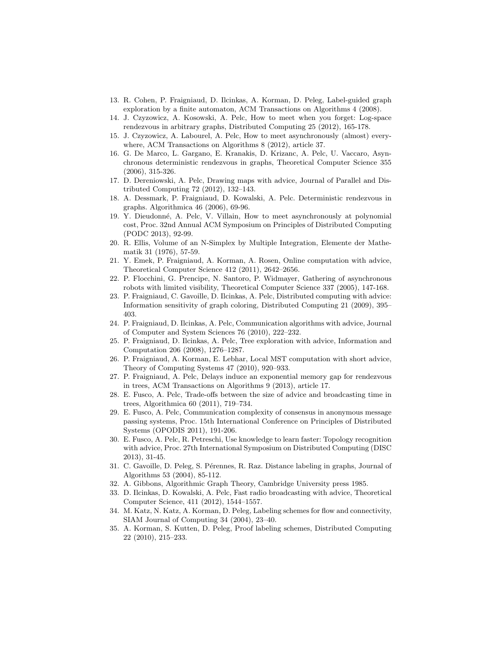- <span id="page-14-1"></span>13. R. Cohen, P. Fraigniaud, D. Ilcinkas, A. Korman, D. Peleg, Label-guided graph exploration by a finite automaton, ACM Transactions on Algorithms 4 (2008).
- <span id="page-14-16"></span>14. J. Czyzowicz, A. Kosowski, A. Pelc, How to meet when you forget: Log-space rendezvous in arbitrary graphs, Distributed Computing 25 (2012), 165-178.
- <span id="page-14-17"></span>15. J. Czyzowicz, A. Labourel, A. Pelc, How to meet asynchronously (almost) everywhere, ACM Transactions on Algorithms 8 (2012), article 37.
- <span id="page-14-18"></span>16. G. De Marco, L. Gargano, E. Kranakis, D. Krizanc, A. Pelc, U. Vaccaro, Asynchronous deterministic rendezvous in graphs, Theoretical Computer Science 355 (2006), 315-326.
- <span id="page-14-2"></span>17. D. Dereniowski, A. Pelc, Drawing maps with advice, Journal of Parallel and Distributed Computing 72 (2012), 132–143.
- <span id="page-14-0"></span>18. A. Dessmark, P. Fraigniaud, D. Kowalski, A. Pelc. Deterministic rendezvous in graphs. Algorithmica 46 (2006), 69-96.
- <span id="page-14-19"></span>19. Y. Dieudonn´e, A. Pelc, V. Villain, How to meet asynchronously at polynomial cost, Proc. 32nd Annual ACM Symposium on Principles of Distributed Computing (PODC 2013), 92-99.
- <span id="page-14-22"></span>20. R. Ellis, Volume of an N-Simplex by Multiple Integration, Elemente der Mathematik 31 (1976), 57-59.
- <span id="page-14-3"></span>21. Y. Emek, P. Fraigniaud, A. Korman, A. Rosen, Online computation with advice, Theoretical Computer Science 412 (2011), 2642–2656.
- <span id="page-14-14"></span>22. P. Flocchini, G. Prencipe, N. Santoro, P. Widmayer, Gathering of asynchronous robots with limited visibility, Theoretical Computer Science 337 (2005), 147-168.
- <span id="page-14-4"></span>23. P. Fraigniaud, C. Gavoille, D. Ilcinkas, A. Pelc, Distributed computing with advice: Information sensitivity of graph coloring, Distributed Computing 21 (2009), 395– 403.
- <span id="page-14-5"></span>24. P. Fraigniaud, D. Ilcinkas, A. Pelc, Communication algorithms with advice, Journal of Computer and System Sciences 76 (2010), 222–232.
- <span id="page-14-6"></span>25. P. Fraigniaud, D. Ilcinkas, A. Pelc, Tree exploration with advice, Information and Computation 206 (2008), 1276–1287.
- <span id="page-14-7"></span>26. P. Fraigniaud, A. Korman, E. Lebhar, Local MST computation with short advice, Theory of Computing Systems 47 (2010), 920–933.
- <span id="page-14-15"></span>27. P. Fraigniaud, A. Pelc, Delays induce an exponential memory gap for rendezvous in trees, ACM Transactions on Algorithms 9 (2013), article 17.
- <span id="page-14-8"></span>28. E. Fusco, A. Pelc, Trade-offs between the size of advice and broadcasting time in trees, Algorithmica 60 (2011), 719–734.
- <span id="page-14-20"></span>29. E. Fusco, A. Pelc, Communication complexity of consensus in anonymous message passing systems, Proc. 15th International Conference on Principles of Distributed Systems (OPODIS 2011), 191-206.
- <span id="page-14-9"></span>30. E. Fusco, A. Pelc, R. Petreschi, Use knowledge to learn faster: Topology recognition with advice, Proc. 27th International Symposium on Distributed Computing (DISC 2013), 31-45.
- <span id="page-14-10"></span>31. C. Gavoille, D. Peleg, S. Pérennes, R. Raz. Distance labeling in graphs, Journal of Algorithms 53 (2004), 85-112.
- <span id="page-14-21"></span>32. A. Gibbons, Algorithmic Graph Theory, Cambridge University press 1985.
- <span id="page-14-11"></span>33. D. Ilcinkas, D. Kowalski, A. Pelc, Fast radio broadcasting with advice, Theoretical Computer Science, 411 (2012), 1544–1557.
- <span id="page-14-12"></span>34. M. Katz, N. Katz, A. Korman, D. Peleg, Labeling schemes for flow and connectivity, SIAM Journal of Computing 34 (2004), 23–40.
- <span id="page-14-13"></span>35. A. Korman, S. Kutten, D. Peleg, Proof labeling schemes, Distributed Computing 22 (2010), 215–233.